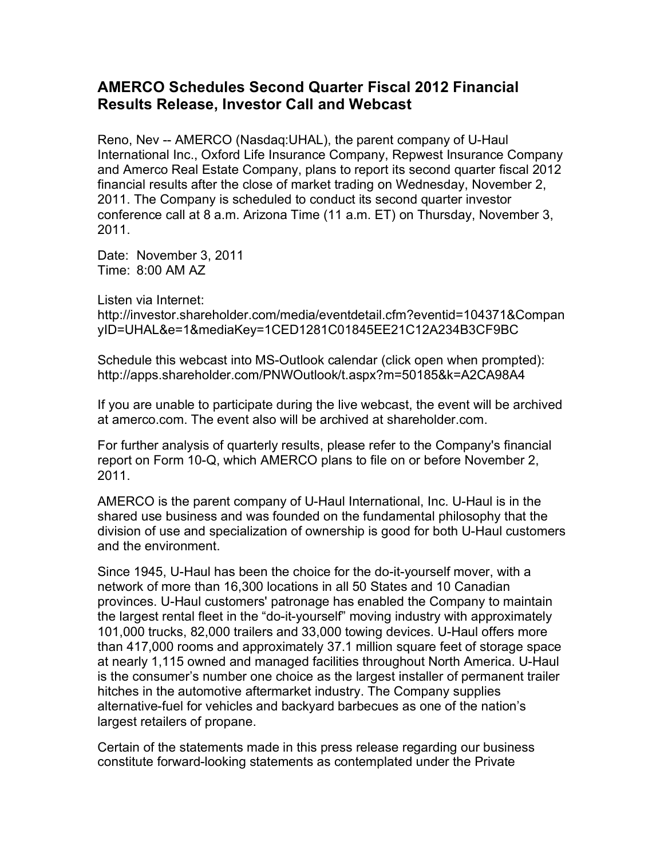## **AMERCO Schedules Second Quarter Fiscal 2012 Financial Results Release, Investor Call and Webcast**

Reno, Nev -- AMERCO (Nasdaq:UHAL), the parent company of U-Haul International Inc., Oxford Life Insurance Company, Repwest Insurance Company and Amerco Real Estate Company, plans to report its second quarter fiscal 2012 financial results after the close of market trading on Wednesday, November 2, 2011. The Company is scheduled to conduct its second quarter investor conference call at 8 a.m. Arizona Time (11 a.m. ET) on Thursday, November 3, 2011.

Date: November 3, 2011 Time: 8:00 AM AZ

Listen via Internet:

http://investor.shareholder.com/media/eventdetail.cfm?eventid=104371&Compan yID=UHAL&e=1&mediaKey=1CED1281C01845EE21C12A234B3CF9BC

Schedule this webcast into MS-Outlook calendar (click open when prompted): http://apps.shareholder.com/PNWOutlook/t.aspx?m=50185&k=A2CA98A4

If you are unable to participate during the live webcast, the event will be archived at amerco.com. The event also will be archived at shareholder.com.

For further analysis of quarterly results, please refer to the Company's financial report on Form 10-Q, which AMERCO plans to file on or before November 2, 2011.

AMERCO is the parent company of U-Haul International, Inc. U-Haul is in the shared use business and was founded on the fundamental philosophy that the division of use and specialization of ownership is good for both U-Haul customers and the environment.

Since 1945, U-Haul has been the choice for the do-it-yourself mover, with a network of more than 16,300 locations in all 50 States and 10 Canadian provinces. U-Haul customers' patronage has enabled the Company to maintain the largest rental fleet in the "do-it-yourself" moving industry with approximately 101,000 trucks, 82,000 trailers and 33,000 towing devices. U-Haul offers more than 417,000 rooms and approximately 37.1 million square feet of storage space at nearly 1,115 owned and managed facilities throughout North America. U-Haul is the consumer's number one choice as the largest installer of permanent trailer hitches in the automotive aftermarket industry. The Company supplies alternative-fuel for vehicles and backyard barbecues as one of the nation's largest retailers of propane.

Certain of the statements made in this press release regarding our business constitute forward-looking statements as contemplated under the Private